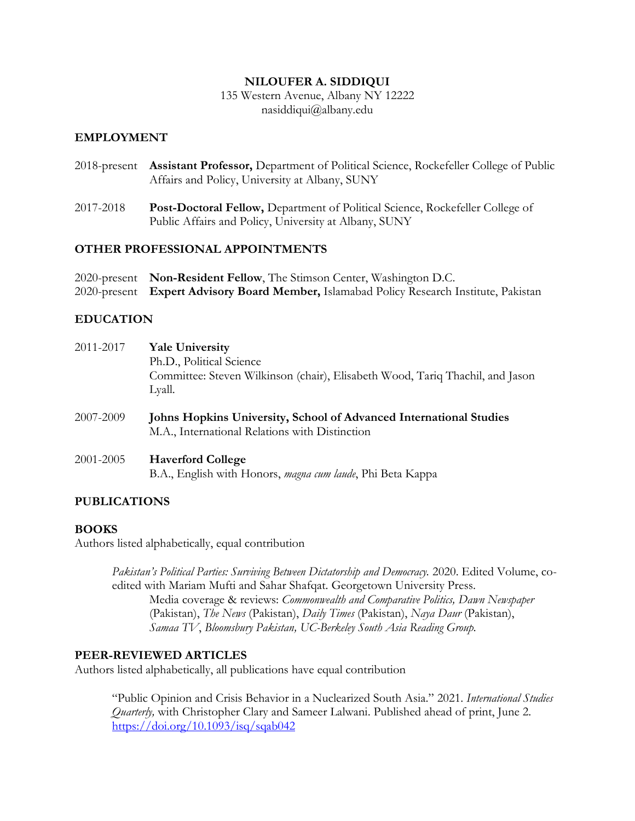#### **NILOUFER A. SIDDIQUI**

135 Western Avenue, Albany NY 12222 nasiddiqui@albany.edu

#### **EMPLOYMENT**

- 2018-present **Assistant Professor,** Department of Political Science, Rockefeller College of Public Affairs and Policy, University at Albany, SUNY
- 2017-2018 **Post-Doctoral Fellow,** Department of Political Science, Rockefeller College of Public Affairs and Policy, University at Albany, SUNY

## **OTHER PROFESSIONAL APPOINTMENTS**

| 2020-present Non-Resident Fellow, The Stimson Center, Washington D.C.                    |
|------------------------------------------------------------------------------------------|
| 2020-present Expert Advisory Board Member, Islamabad Policy Research Institute, Pakistan |

## **EDUCATION**

| 2011-2017 | <b>Yale University</b><br>Ph.D., Political Science<br>Committee: Steven Wilkinson (chair), Elisabeth Wood, Tariq Thachil, and Jason<br>Lyall. |
|-----------|-----------------------------------------------------------------------------------------------------------------------------------------------|
| 2007-2009 | <b>Johns Hopkins University, School of Advanced International Studies</b><br>M.A., International Relations with Distinction                   |

2001-2005 **Haverford College** B.A., English with Honors, *magna cum laude*, Phi Beta Kappa

## **PUBLICATIONS**

#### **BOOKS**

Authors listed alphabetically, equal contribution

*Pakistan's Political Parties: Surviving Between Dictatorship and Democracy.* 2020. Edited Volume, coedited with Mariam Mufti and Sahar Shafqat. Georgetown University Press. Media coverage & reviews: *Commonwealth and Comparative Politics, Dawn Newspaper*  (Pakistan), *The News* (Pakistan), *Daily Times* (Pakistan), *Naya Daur* (Pakistan), *Samaa TV*, *Bloomsbury Pakistan, UC-Berkeley South Asia Reading Group.* 

#### **PEER-REVIEWED ARTICLES**

Authors listed alphabetically, all publications have equal contribution

"Public Opinion and Crisis Behavior in a Nuclearized South Asia." 2021. *International Studies Quarterly,* with Christopher Clary and Sameer Lalwani. Published ahead of print, June 2. <https://doi.org/10.1093/isq/sqab042>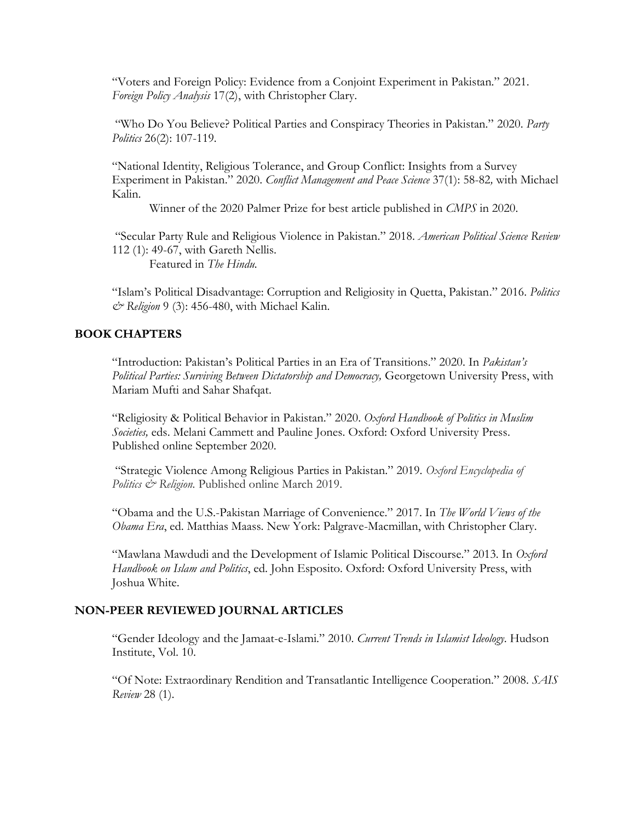"Voters and Foreign Policy: Evidence from a Conjoint Experiment in Pakistan." 2021. *Foreign Policy Analysis* 17(2), with Christopher Clary.

"Who Do You Believe? Political Parties and Conspiracy Theories in Pakistan." 2020. *Party Politics* 26(2): 107-119*.*

"National Identity, Religious Tolerance, and Group Conflict: Insights from a Survey Experiment in Pakistan." 2020. *Conflict Management and Peace Science* 37(1): 58-82*,* with Michael Kalin.

Winner of the 2020 Palmer Prize for best article published in *CMPS* in 2020.

"Secular Party Rule and Religious Violence in Pakistan." 2018. *American Political Science Review* 112 (1): 49-67, with Gareth Nellis.

Featured in *The Hindu.* 

"Islam's Political Disadvantage: Corruption and Religiosity in Quetta, Pakistan." 2016. *Politics & Religion* 9 (3): 456-480, with Michael Kalin.

#### **BOOK CHAPTERS**

"Introduction: Pakistan's Political Parties in an Era of Transitions." 2020. In *Pakistan's*  Political Parties: Surviving Between Dictatorship and Democracy, Georgetown University Press, with Mariam Mufti and Sahar Shafqat.

"Religiosity & Political Behavior in Pakistan." 2020. *Oxford Handbook of Politics in Muslim Societies,* eds. Melani Cammett and Pauline Jones. Oxford: Oxford University Press. Published online September 2020.

"Strategic Violence Among Religious Parties in Pakistan." 2019. *Oxford Encyclopedia of Politics & Religion.* Published online March 2019.

"Obama and the U.S.-Pakistan Marriage of Convenience." 2017. In *The World Views of the Obama Era*, ed. Matthias Maass. New York: Palgrave-Macmillan, with Christopher Clary.

"Mawlana Mawdudi and the Development of Islamic Political Discourse." 2013. In *Oxford Handbook on Islam and Politics*, ed. John Esposito. Oxford: Oxford University Press, with Joshua White.

#### **NON-PEER REVIEWED JOURNAL ARTICLES**

"Gender Ideology and the Jamaat-e-Islami." 2010. *Current Trends in Islamist Ideology*. Hudson Institute, Vol. 10.

"Of Note: Extraordinary Rendition and Transatlantic Intelligence Cooperation." 2008. *SAIS Review* 28 (1).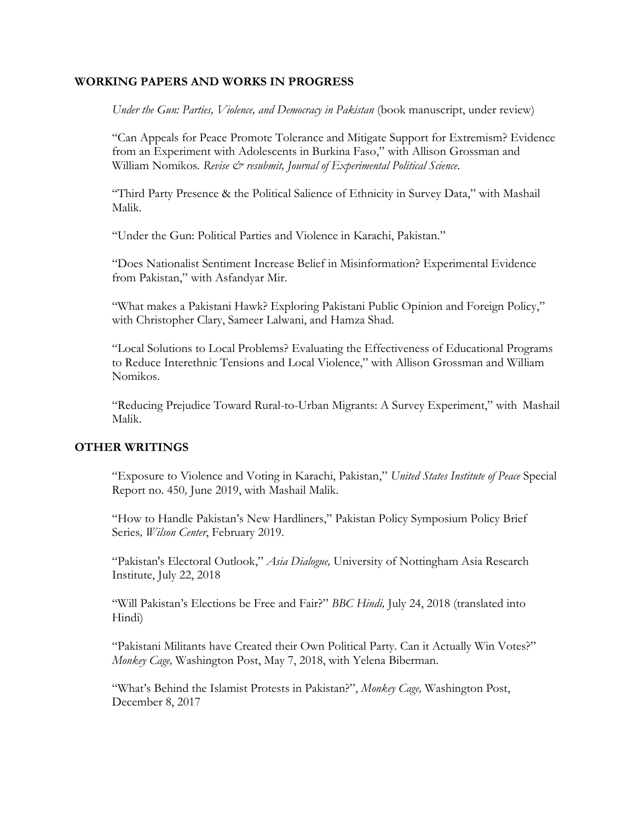#### **WORKING PAPERS AND WORKS IN PROGRESS**

*Under the Gun: Parties, Violence, and Democracy in Pakistan* (book manuscript, under review)

"Can Appeals for Peace Promote Tolerance and Mitigate Support for Extremism? Evidence from an Experiment with Adolescents in Burkina Faso," with Allison Grossman and William Nomikos. Revise & resubmit, Journal of Experimental Political Science.

"Third Party Presence & the Political Salience of Ethnicity in Survey Data," with Mashail Malik.

"Under the Gun: Political Parties and Violence in Karachi, Pakistan."

"Does Nationalist Sentiment Increase Belief in Misinformation? Experimental Evidence from Pakistan," with Asfandyar Mir.

"What makes a Pakistani Hawk? Exploring Pakistani Public Opinion and Foreign Policy," with Christopher Clary, Sameer Lalwani, and Hamza Shad.

"Local Solutions to Local Problems? Evaluating the Effectiveness of Educational Programs to Reduce Interethnic Tensions and Local Violence," with Allison Grossman and William Nomikos.

"Reducing Prejudice Toward Rural-to-Urban Migrants: A Survey Experiment," with Mashail Malik.

#### **OTHER WRITINGS**

"Exposure to Violence and Voting in Karachi, Pakistan," *United States Institute of Peace* Special Report no. 450*,* June 2019, with Mashail Malik.

"How to Handle Pakistan's New Hardliners," Pakistan Policy Symposium Policy Brief Series*, Wilson Center*, February 2019.

"Pakistan's Electoral Outlook," *Asia Dialogue,* University of Nottingham Asia Research Institute, July 22, 2018

"Will Pakistan's Elections be Free and Fair?" *BBC Hindi,* July 24, 2018 (translated into Hindi)

"Pakistani Militants have Created their Own Political Party. Can it Actually Win Votes?" *Monkey Cage,* Washington Post, May 7, 2018, with Yelena Biberman.

"What's Behind the Islamist Protests in Pakistan?", *Monkey Cage,* Washington Post, December 8, 2017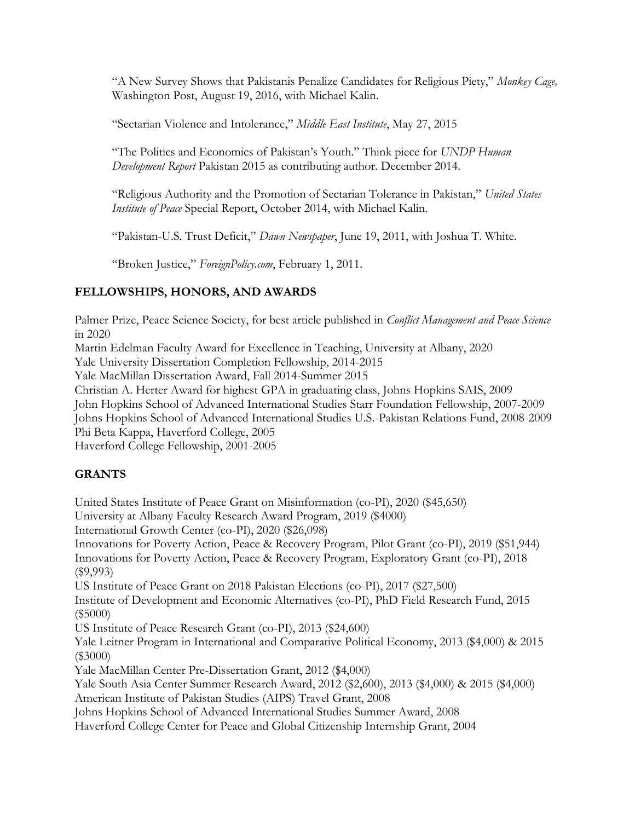"A New Survey Shows that Pakistanis Penalize Candidates for Religious Piety," *Monkey Cage,* Washington Post, August 19, 2016, with Michael Kalin.

"Sectarian Violence and Intolerance," *Middle East Institute*, May 27, 2015

"The Politics and Economics of Pakistan's Youth." Think piece for *UNDP Human Development Report* Pakistan 2015 as contributing author. December 2014.

"Religious Authority and the Promotion of Sectarian Tolerance in Pakistan," *United States Institute of Peace* Special Report, October 2014, with Michael Kalin.

"Pakistan-U.S. Trust Deficit," *Dawn Newspaper*, June 19, 2011, with Joshua T. White.

"Broken Justice," *ForeignPolicy.com*, February 1, 2011.

## **FELLOWSHIPS, HONORS, AND AWARDS**

Palmer Prize, Peace Science Society, for best article published in *Conflict Management and Peace Science*  in 2020

Martin Edelman Faculty Award for Excellence in Teaching, University at Albany, 2020

Yale University Dissertation Completion Fellowship, 2014-2015

Yale MacMillan Dissertation Award, Fall 2014-Summer 2015

Christian A. Herter Award for highest GPA in graduating class, Johns Hopkins SAIS, 2009 John Hopkins School of Advanced International Studies Starr Foundation Fellowship, 2007-2009

Johns Hopkins School of Advanced International Studies U.S.-Pakistan Relations Fund, 2008-2009 Phi Beta Kappa, Haverford College, 2005

Haverford College Fellowship, 2001-2005

## **GRANTS**

United States Institute of Peace Grant on Misinformation (co-PI), 2020 (\$45,650) University at Albany Faculty Research Award Program, 2019 (\$4000) International Growth Center (co-PI), 2020 (\$26,098) Innovations for Poverty Action, Peace & Recovery Program, Pilot Grant (co-PI), 2019 (\$51,944) Innovations for Poverty Action, Peace & Recovery Program, Exploratory Grant (co-PI), 2018 (\$9,993) US Institute of Peace Grant on 2018 Pakistan Elections (co-PI), 2017 (\$27,500) Institute of Development and Economic Alternatives (co-PI), PhD Field Research Fund, 2015 (\$5000) US Institute of Peace Research Grant (co-PI), 2013 (\$24,600) Yale Leitner Program in International and Comparative Political Economy, 2013 (\$4,000) & 2015 (\$3000) Yale MacMillan Center Pre-Dissertation Grant, 2012 (\$4,000) Yale South Asia Center Summer Research Award, 2012 (\$2,600), 2013 (\$4,000) & 2015 (\$4,000) American Institute of Pakistan Studies (AIPS) Travel Grant, 2008 Johns Hopkins School of Advanced International Studies Summer Award, 2008 Haverford College Center for Peace and Global Citizenship Internship Grant, 2004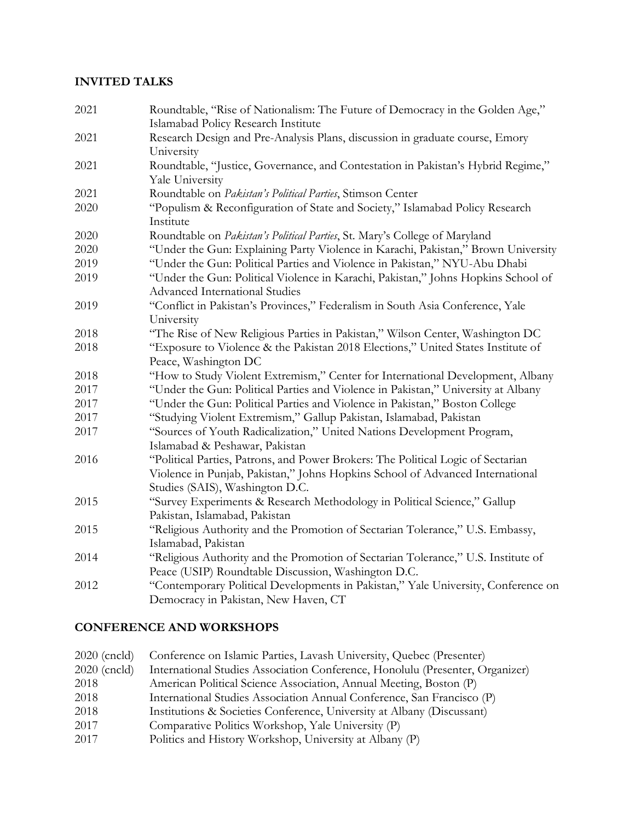#### **INVITED TALKS**

Roundtable, "Rise of Nationalism: The Future of Democracy in the Golden Age," Islamabad Policy Research Institute Research Design and Pre-Analysis Plans, discussion in graduate course, Emory University Roundtable, "Justice, Governance, and Contestation in Pakistan's Hybrid Regime," Yale University Roundtable on *Pakistan's Political Parties*, Stimson Center "Populism & Reconfiguration of State and Society," Islamabad Policy Research Institute Roundtable on *Pakistan's Political Parties*, St. Mary's College of Maryland "Under the Gun: Explaining Party Violence in Karachi, Pakistan," Brown University "Under the Gun: Political Parties and Violence in Pakistan," NYU-Abu Dhabi "Under the Gun: Political Violence in Karachi, Pakistan," Johns Hopkins School of Advanced International Studies "Conflict in Pakistan's Provinces," Federalism in South Asia Conference, Yale University "The Rise of New Religious Parties in Pakistan," Wilson Center, Washington DC "Exposure to Violence & the Pakistan 2018 Elections," United States Institute of Peace, Washington DC "How to Study Violent Extremism," Center for International Development, Albany "Under the Gun: Political Parties and Violence in Pakistan," University at Albany "Under the Gun: Political Parties and Violence in Pakistan," Boston College "Studying Violent Extremism," Gallup Pakistan, Islamabad, Pakistan "Sources of Youth Radicalization," United Nations Development Program, Islamabad & Peshawar, Pakistan "Political Parties, Patrons, and Power Brokers: The Political Logic of Sectarian Violence in Punjab, Pakistan," Johns Hopkins School of Advanced International Studies (SAIS), Washington D.C. "Survey Experiments & Research Methodology in Political Science," Gallup Pakistan, Islamabad, Pakistan "Religious Authority and the Promotion of Sectarian Tolerance," U.S. Embassy, Islamabad, Pakistan "Religious Authority and the Promotion of Sectarian Tolerance," U.S. Institute of Peace (USIP) Roundtable Discussion, Washington D.C. "Contemporary Political Developments in Pakistan," Yale University, Conference on Democracy in Pakistan, New Haven, CT

## **CONFERENCE AND WORKSHOPS**

| $2020$ (cncld) | Conference on Islamic Parties, Lavash University, Quebec (Presenter)          |
|----------------|-------------------------------------------------------------------------------|
| 2020 (cncld)   | International Studies Association Conference, Honolulu (Presenter, Organizer) |
| 2018           | American Political Science Association, Annual Meeting, Boston (P)            |
| 2018           | International Studies Association Annual Conference, San Francisco (P)        |
| 2018           | Institutions & Societies Conference, University at Albany (Discussant)        |
| 2017           | Comparative Politics Workshop, Yale University (P)                            |
| 2017           | Politics and History Workshop, University at Albany (P)                       |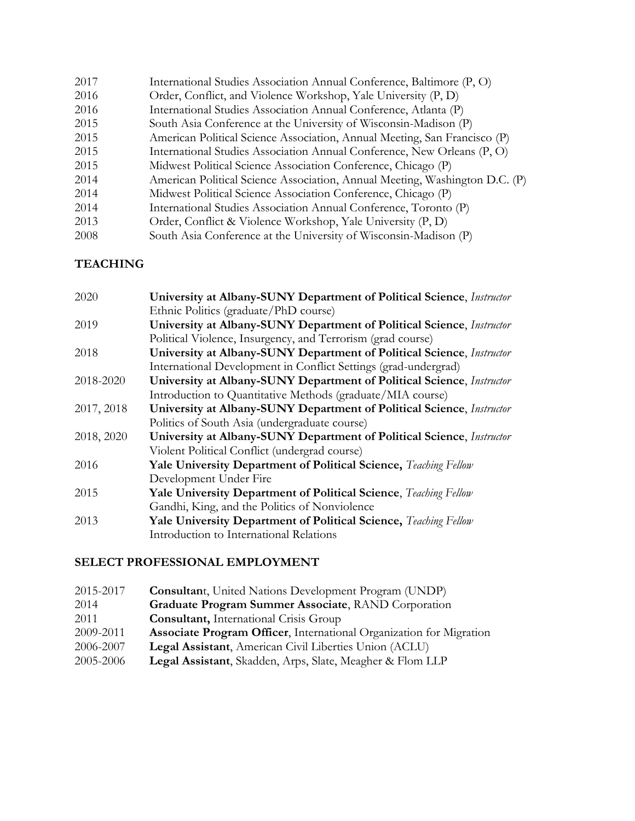| 2017 | International Studies Association Annual Conference, Baltimore (P, O)       |
|------|-----------------------------------------------------------------------------|
| 2016 | Order, Conflict, and Violence Workshop, Yale University (P, D)              |
| 2016 | International Studies Association Annual Conference, Atlanta (P)            |
| 2015 | South Asia Conference at the University of Wisconsin-Madison (P)            |
| 2015 | American Political Science Association, Annual Meeting, San Francisco (P)   |
| 2015 | International Studies Association Annual Conference, New Orleans (P, O)     |
| 2015 | Midwest Political Science Association Conference, Chicago (P)               |
| 2014 | American Political Science Association, Annual Meeting, Washington D.C. (P) |
| 2014 | Midwest Political Science Association Conference, Chicago (P)               |
| 2014 | International Studies Association Annual Conference, Toronto (P)            |
| 2013 | Order, Conflict & Violence Workshop, Yale University (P, D)                 |
| 2008 | South Asia Conference at the University of Wisconsin-Madison (P)            |
|      |                                                                             |

# **TEACHING**

| 2020       | University at Albany-SUNY Department of Political Science, Instructor |
|------------|-----------------------------------------------------------------------|
|            | Ethnic Politics (graduate/PhD course)                                 |
| 2019       | University at Albany-SUNY Department of Political Science, Instructor |
|            | Political Violence, Insurgency, and Terrorism (grad course)           |
| 2018       | University at Albany-SUNY Department of Political Science, Instructor |
|            | International Development in Conflict Settings (grad-undergrad)       |
| 2018-2020  | University at Albany-SUNY Department of Political Science, Instructor |
|            | Introduction to Quantitative Methods (graduate/MIA course)            |
| 2017, 2018 | University at Albany-SUNY Department of Political Science, Instructor |
|            | Politics of South Asia (undergraduate course)                         |
| 2018, 2020 | University at Albany-SUNY Department of Political Science, Instructor |
|            | Violent Political Conflict (undergrad course)                         |
| 2016       | Yale University Department of Political Science, Teaching Fellow      |
|            | Development Under Fire                                                |
| 2015       | Yale University Department of Political Science, Teaching Fellow      |
|            | Gandhi, King, and the Politics of Nonviolence                         |
| 2013       | Yale University Department of Political Science, Teaching Fellow      |
|            | Introduction to International Relations                               |

# **SELECT PROFESSIONAL EMPLOYMENT**

| 2015-2017 | <b>Consultant, United Nations Development Program (UNDP)</b>               |
|-----------|----------------------------------------------------------------------------|
| 2014      | Graduate Program Summer Associate, RAND Corporation                        |
| 2011      | <b>Consultant</b> , International Crisis Group                             |
| 2009-2011 | <b>Associate Program Officer, International Organization for Migration</b> |
| 2006-2007 | Legal Assistant, American Civil Liberties Union (ACLU)                     |
| 2005-2006 | Legal Assistant, Skadden, Arps, Slate, Meagher & Flom LLP                  |